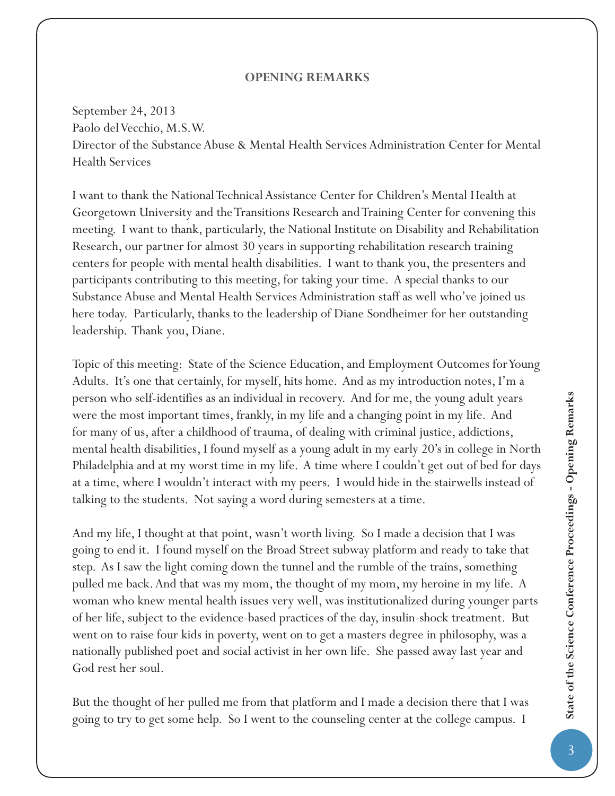## **OPENING REMARKS**

September 24, 2013 Paolo del Vecchio, M.S.W. Director of the Substance Abuse & Mental Health Services Administration Center for Mental Health Services

I want to thank the National Technical Assistance Center for Children's Mental Health at Georgetown University and the Transitions Research and Training Center for convening this meeting. I want to thank, particularly, the National Institute on Disability and Rehabilitation Research, our partner for almost 30 years in supporting rehabilitation research training centers for people with mental health disabilities. I want to thank you, the presenters and participants contributing to this meeting, for taking your time. A special thanks to our Substance Abuse and Mental Health Services Administration staff as well who've joined us here today. Particularly, thanks to the leadership of Diane Sondheimer for her outstanding leadership. Thank you, Diane.

Topic of this meeting: State of the Science Education, and Employment Outcomes for Young Adults. It's one that certainly, for myself, hits home. And as my introduction notes, I'm a person who self-identifies as an individual in recovery. And for me, the young adult years were the most important times, frankly, in my life and a changing point in my life. And for many of us, after a childhood of trauma, of dealing with criminal justice, addictions, mental health disabilities, I found myself as a young adult in my early 20's in college in North Philadelphia and at my worst time in my life. A time where I couldn't get out of bed for days at a time, where I wouldn't interact with my peers. I would hide in the stairwells instead of talking to the students. Not saying a word during semesters at a time.

And my life, I thought at that point, wasn't worth living. So I made a decision that I was going to end it. I found myself on the Broad Street subway platform and ready to take that step. As I saw the light coming down the tunnel and the rumble of the trains, something pulled me back. And that was my mom, the thought of my mom, my heroine in my life. A woman who knew mental health issues very well, was institutionalized during younger parts of her life, subject to the evidence-based practices of the day, insulin-shock treatment. But went on to raise four kids in poverty, went on to get a masters degree in philosophy, was a nationally published poet and social activist in her own life. She passed away last year and God rest her soul.

But the thought of her pulled me from that platform and I made a decision there that I was going to try to get some help. So I went to the counseling center at the college campus. I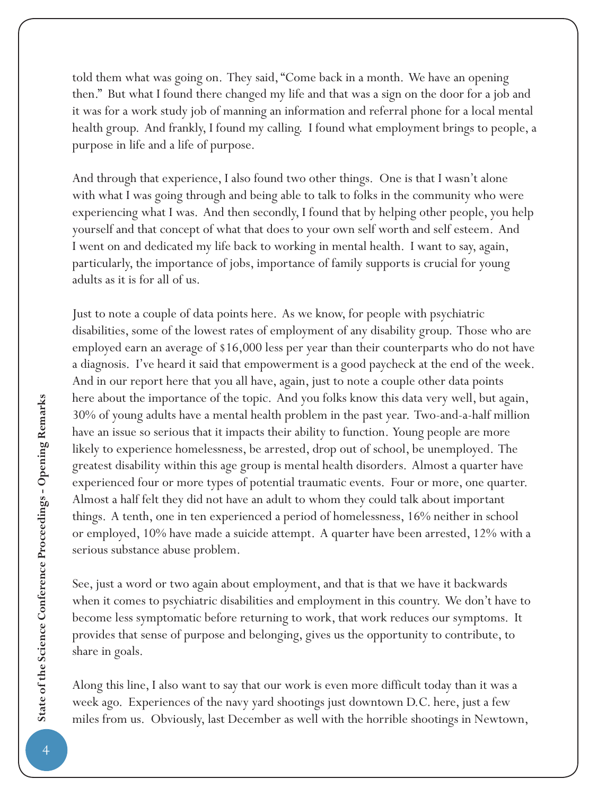told them what was going on. They said, "Come back in a month. We have an opening then." But what I found there changed my life and that was a sign on the door for a job and it was for a work study job of manning an information and referral phone for a local mental health group. And frankly, I found my calling. I found what employment brings to people, a purpose in life and a life of purpose.

And through that experience, I also found two other things. One is that I wasn't alone with what I was going through and being able to talk to folks in the community who were experiencing what I was. And then secondly, I found that by helping other people, you help yourself and that concept of what that does to your own self worth and self esteem. And I went on and dedicated my life back to working in mental health. I want to say, again, particularly, the importance of jobs, importance of family supports is crucial for young adults as it is for all of us.

Just to note a couple of data points here. As we know, for people with psychiatric disabilities, some of the lowest rates of employment of any disability group. Those who are employed earn an average of \$16,000 less per year than their counterparts who do not have a diagnosis. I've heard it said that empowerment is a good paycheck at the end of the week. And in our report here that you all have, again, just to note a couple other data points here about the importance of the topic. And you folks know this data very well, but again, 30% of young adults have a mental health problem in the past year. Two-and-a-half million have an issue so serious that it impacts their ability to function. Young people are more likely to experience homelessness, be arrested, drop out of school, be unemployed. The greatest disability within this age group is mental health disorders. Almost a quarter have experienced four or more types of potential traumatic events. Four or more, one quarter. Almost a half felt they did not have an adult to whom they could talk about important things. A tenth, one in ten experienced a period of homelessness, 16% neither in school or employed, 10% have made a suicide attempt. A quarter have been arrested, 12% with a serious substance abuse problem.

See, just a word or two again about employment, and that is that we have it backwards when it comes to psychiatric disabilities and employment in this country. We don't have to become less symptomatic before returning to work, that work reduces our symptoms. It provides that sense of purpose and belonging, gives us the opportunity to contribute, to share in goals.

Along this line, I also want to say that our work is even more difficult today than it was a week ago. Experiences of the navy yard shootings just downtown D.C. here, just a few miles from us. Obviously, last December as well with the horrible shootings in Newtown,